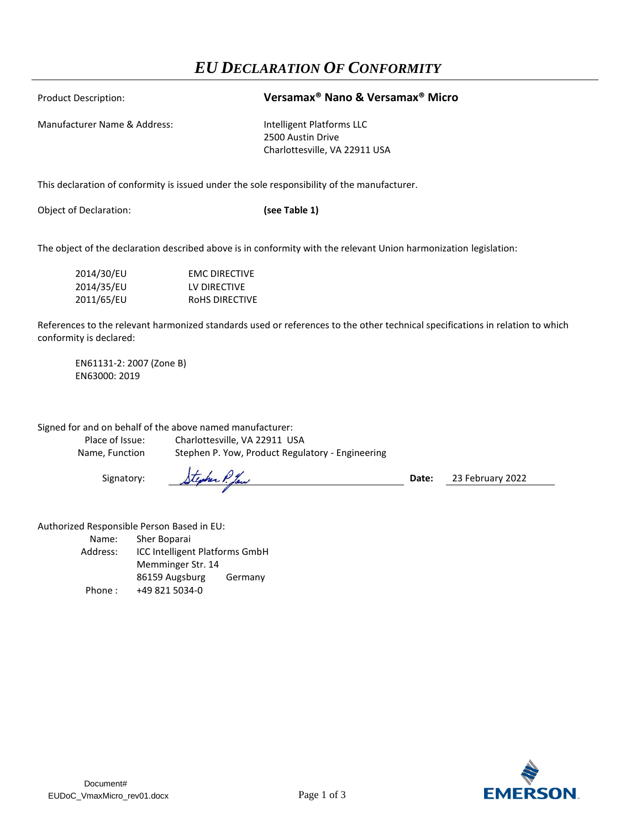## *EU DECLARATION OF CONFORMITY*

## Product Description: **Versamax® Nano & Versamax® Micro**

Manufacturer Name & Address: Intelligent Platforms LLC

2500 Austin Drive Charlottesville, VA 22911 USA

This declaration of conformity is issued under the sole responsibility of the manufacturer.

Object of Declaration: **(see Table 1)**

The object of the declaration described above is in conformity with the relevant Union harmonization legislation:

| 2014/30/EU | <b>EMC DIRECTIVE</b> |
|------------|----------------------|
| 2014/35/EU | LV DIRECTIVE         |
| 2011/65/EU | ROHS DIRECTIVE       |

References to the relevant harmonized standards used or references to the other technical specifications in relation to which conformity is declared:

EN61131-2: 2007 (Zone B) EN63000: 2019

Signed for and on behalf of the above named manufacturer:

Place of Issue: Charlottesville, VA 22911 USA Name, Function Stephen P. Yow, Product Regulatory - Engineering

Signatory: Stephen P faw **Date:** 23 February 2022

Authorized Responsible Person Based in EU:

Name: Sher Boparai Address: ICC Intelligent Platforms GmbH Memminger Str. 14 86159 Augsburg Germany Phone : +49 821 5034-0

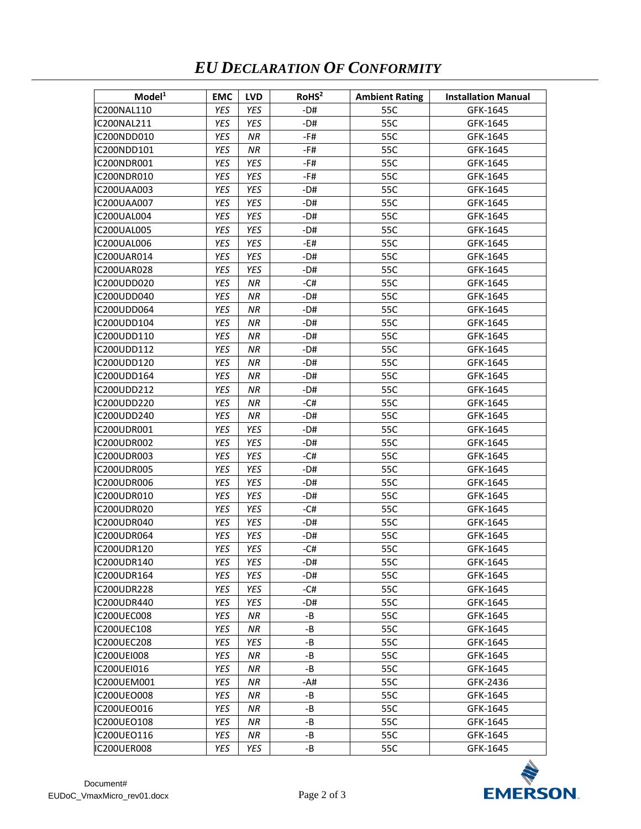## *EU DECLARATION OF CONFORMITY*

| Model <sup>1</sup> | <b>EMC</b> | <b>LVD</b> | RoHS <sup>2</sup> | <b>Ambient Rating</b> | <b>Installation Manual</b> |
|--------------------|------------|------------|-------------------|-----------------------|----------------------------|
| IC200NAL110        | YES        | YES        | -D#               | 55C                   | GFK-1645                   |
| IC200NAL211        | YES        | YES        | -D#               | 55C                   | GFK-1645                   |
| IC200NDD010        | YES        | ΝR         | -F#               | 55C                   | GFK-1645                   |
| IC200NDD101        | YES        | NR         | -F#               | 55C                   | GFK-1645                   |
| IC200NDR001        | YES        | YES        | -F#               | 55C                   | GFK-1645                   |
| IC200NDR010        | YES        | YES        | -F#               | 55C                   | GFK-1645                   |
| IC200UAA003        | YES        | YES        | -D#               | 55C                   | GFK-1645                   |
| IC200UAA007        | YES        | YES        | -D#               | 55C                   | GFK-1645                   |
| IC200UAL004        | YES        | YES        | $-D#$             | 55C                   | GFK-1645                   |
| IC200UAL005        | YES        | YES        | -D#               | 55C                   | GFK-1645                   |
| IC200UAL006        | YES        | YES        | -E#               | 55C                   | GFK-1645                   |
| IC200UAR014        | YES        | YES        | -D#               | 55C                   | GFK-1645                   |
| IC200UAR028        | <b>YES</b> | YES        | -D#               | 55C                   | GFK-1645                   |
| IC200UDD020        | YES        | ΝR         | -C#               | 55C                   | GFK-1645                   |
| IC200UDD040        | YES        | ΝR         | -D#               | 55C                   | GFK-1645                   |
| IC200UDD064        | YES        | ΝR         | -D#               | 55C                   | GFK-1645                   |
| IC200UDD104        | YES        | NR         | -D#               | 55C                   | GFK-1645                   |
| IC200UDD110        | YES        | ΝR         | -D#               | 55C                   | GFK-1645                   |
| IC200UDD112        | YES        | ΝR         | -D#               | 55C                   | GFK-1645                   |
| IC200UDD120        | YES        | ΝR         | -D#               | 55C                   | GFK-1645                   |
| IC200UDD164        | YES        | NR         | -D#               | 55C                   | GFK-1645                   |
| IC200UDD212        | YES        | ΝR         | -D#               | 55C                   | GFK-1645                   |
| IC200UDD220        | YES        | ΝR         | -C#               | 55C                   | GFK-1645                   |
| IC200UDD240        | YES        | ΝR         | -D#               | 55C                   | GFK-1645                   |
| IC200UDR001        | YES        | YES        | -D#               | 55C                   | GFK-1645                   |
| IC200UDR002        | YES        | YES        | $-D#$             | 55C                   | GFK-1645                   |
| IC200UDR003        | YES        | YES        | -C#               | 55C                   | GFK-1645                   |
| IC200UDR005        | YES        | YES        | -D#               | 55C                   | GFK-1645                   |
| IC200UDR006        | YES        | YES        | -D#               | 55C                   | GFK-1645                   |
| IC200UDR010        | <b>YES</b> | YES        | -D#               | 55C                   | GFK-1645                   |
| IC200UDR020        | YES        | YES        | -C#               | 55C                   | GFK-1645                   |
| IC200UDR040        | YES        | YES        | $-D#$             | 55C                   | GFK-1645                   |
| IC200UDR064        | YES        | YES        | -D#               | 55C                   | GFK-1645                   |
| IC200UDR120        | YES        | YES        | -C#               | 55C                   | GFK-1645                   |
| IC200UDR140        | YES        | YES        | -D#               | 55C                   | GFK-1645                   |
| IC200UDR164        | YES        | YES        | -D#               | 55C                   | GFK-1645                   |
| IC200UDR228        | YES        | YES        | -C#               | 55C                   | GFK-1645                   |
| IC200UDR440        | YES        | YES        | -D#               | 55C                   | GFK-1645                   |
| <b>IC200UEC008</b> | YES        | ΝR         | -B                | 55C                   | GFK-1645                   |
| <b>IC200UEC108</b> | YES        | ΝR         | -B                | 55C                   | GFK-1645                   |
| <b>IC200UEC208</b> | YES        | YES        | -B                | 55C                   | GFK-1645                   |
| <b>IC200UEI008</b> | YES        | ΝR         | -B                | 55C                   | GFK-1645                   |
| IC200UEI016        | YES        | ΝR         | $-B$              | 55C                   | GFK-1645                   |
| IC200UEM001        | YES        | ΝR         | -A#               | 55C                   | GFK-2436                   |
| <b>IC200UEO008</b> | YES        | NR         | -B                | 55C                   | GFK-1645                   |
| IC200UEO016        | YES        | ΝR         | -B                | 55C                   | GFK-1645                   |
| IC200UEO108        | YES        | ΝR         | -B                | 55C                   | GFK-1645                   |
| IC200UEO116        | YES        | ΝR         | -B                | 55C                   | GFK-1645                   |
| IC200UER008        | YES        | YES        | -B                | 55C                   | GFK-1645                   |